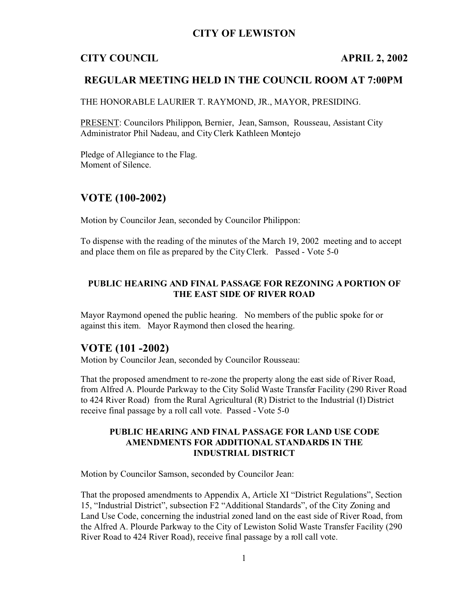## **CITY OF LEWISTON**

# **CITY COUNCIL APRIL 2, 2002**

## **REGULAR MEETING HELD IN THE COUNCIL ROOM AT 7:00PM**

THE HONORABLE LAURIER T. RAYMOND, JR., MAYOR, PRESIDING.

PRESENT: Councilors Philippon, Bernier, Jean, Samson, Rousseau, Assistant City Administrator Phil Nadeau, and City Clerk Kathleen Montejo

Pledge of Allegiance to the Flag. Moment of Silence.

# **VOTE (100-2002)**

Motion by Councilor Jean, seconded by Councilor Philippon:

To dispense with the reading of the minutes of the March 19, 2002 meeting and to accept and place them on file as prepared by the City Clerk. Passed - Vote 5-0

#### **PUBLIC HEARING AND FINAL PASSAGE FOR REZONING A PORTION OF THE EAST SIDE OF RIVER ROAD**

Mayor Raymond opened the public hearing. No members of the public spoke for or against this item. Mayor Raymond then closed the hearing.

## **VOTE (101 -2002)**

Motion by Councilor Jean, seconded by Councilor Rousseau:

That the proposed amendment to re-zone the property along the east side of River Road, from Alfred A. Plourde Parkway to the City Solid Waste Transfer Facility (290 River Road to 424 River Road) from the Rural Agricultural (R) District to the Industrial (I) District receive final passage by a roll call vote. Passed - Vote 5-0

#### **PUBLIC HEARING AND FINAL PASSAGE FOR LAND USE CODE AMENDMENTS FOR ADDITIONAL STANDARDS IN THE INDUSTRIAL DISTRICT**

Motion by Councilor Samson, seconded by Councilor Jean:

That the proposed amendments to Appendix A, Article XI "District Regulations", Section 15, "Industrial District", subsection F2 "Additional Standards", of the City Zoning and Land Use Code, concerning the industrial zoned land on the east side of River Road, from the Alfred A. Plourde Parkway to the City of Lewiston Solid Waste Transfer Facility (290 River Road to 424 River Road), receive final passage by a roll call vote.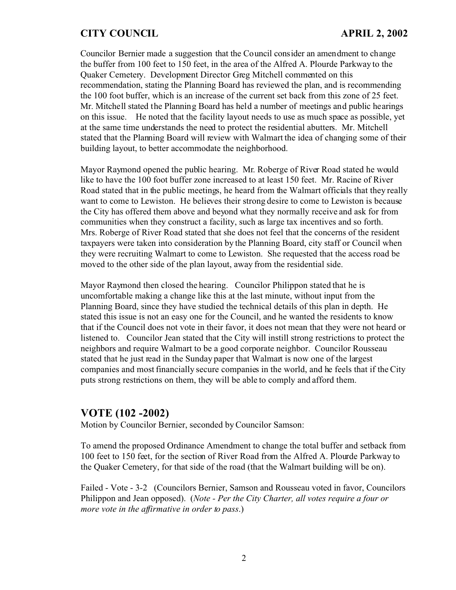Councilor Bernier made a suggestion that the Council consider an amendment to change the buffer from 100 feet to 150 feet, in the area of the Alfred A. Plourde Parkway to the Quaker Cemetery. Development Director Greg Mitchell commented on this recommendation, stating the Planning Board has reviewed the plan, and is recommending the 100 foot buffer, which is an increase of the current set back from this zone of 25 feet. Mr. Mitchell stated the Planning Board has held a number of meetings and public hearings on this issue. He noted that the facility layout needs to use as much space as possible, yet at the same time understands the need to protect the residential abutters. Mr. Mitchell stated that the Planning Board will review with Walmart the idea of changing some of their building layout, to better accommodate the neighborhood.

Mayor Raymond opened the public hearing. Mr. Roberge of River Road stated he would like to have the 100 foot buffer zone increased to at least 150 feet. Mr. Racine of River Road stated that in the public meetings, he heard from the Walmart officials that they really want to come to Lewiston. He believes their strong desire to come to Lewiston is because the City has offered them above and beyond what they normally receive and ask for from communities when they construct a facility, such as large tax incentives and so forth. Mrs. Roberge of River Road stated that she does not feel that the concerns of the resident taxpayers were taken into consideration by the Planning Board, city staff or Council when they were recruiting Walmart to come to Lewiston. She requested that the access road be moved to the other side of the plan layout, away from the residential side.

Mayor Raymond then closed the hearing. Councilor Philippon stated that he is uncomfortable making a change like this at the last minute, without input from the Planning Board, since they have studied the technical details of this plan in depth. He stated this issue is not an easy one for the Council, and he wanted the residents to know that if the Council does not vote in their favor, it does not mean that they were not heard or listened to. Councilor Jean stated that the City will instill strong restrictions to protect the neighbors and require Walmart to be a good corporate neighbor. Councilor Rousseau stated that he just read in the Sunday paper that Walmart is now one of the largest companies and most financially secure companies in the world, and he feels that if the City puts strong restrictions on them, they will be able to comply and afford them.

## **VOTE (102 -2002)**

Motion by Councilor Bernier, seconded by Councilor Samson:

To amend the proposed Ordinance Amendment to change the total buffer and setback from 100 feet to 150 feet, for the section of River Road from the Alfred A. Plourde Parkway to the Quaker Cemetery, for that side of the road (that the Walmart building will be on).

Failed - Vote - 3-2 (Councilors Bernier, Samson and Rousseau voted in favor, Councilors Philippon and Jean opposed). (*Note - Per the City Charter, all votes require a four or more vote in the affirmative in order to pass*.)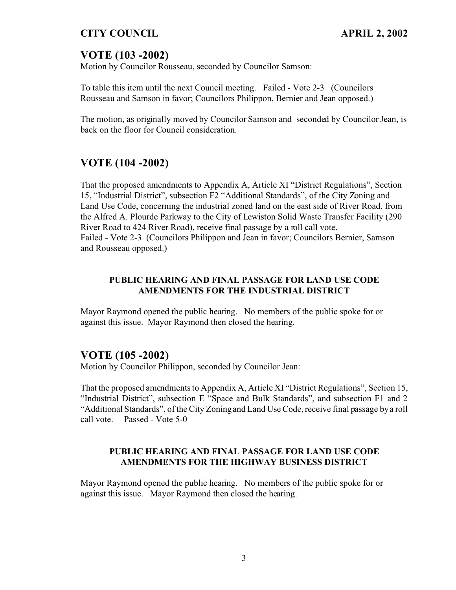# **VOTE (103 -2002)**

Motion by Councilor Rousseau, seconded by Councilor Samson:

To table this item until the next Council meeting. Failed - Vote 2-3 (Councilors Rousseau and Samson in favor; Councilors Philippon, Bernier and Jean opposed.)

The motion, as originally moved by Councilor Samson and seconded by Councilor Jean, is back on the floor for Council consideration.

# **VOTE (104 -2002)**

That the proposed amendments to Appendix A, Article XI "District Regulations", Section 15, "Industrial District", subsection F2 "Additional Standards", of the City Zoning and Land Use Code, concerning the industrial zoned land on the east side of River Road, from the Alfred A. Plourde Parkway to the City of Lewiston Solid Waste Transfer Facility (290 River Road to 424 River Road), receive final passage by a roll call vote. Failed - Vote 2-3 (Councilors Philippon and Jean in favor; Councilors Bernier, Samson and Rousseau opposed.)

#### **PUBLIC HEARING AND FINAL PASSAGE FOR LAND USE CODE AMENDMENTS FOR THE INDUSTRIAL DISTRICT**

Mayor Raymond opened the public hearing. No members of the public spoke for or against this issue. Mayor Raymond then closed the hearing.

## **VOTE (105 -2002)**

Motion by Councilor Philippon, seconded by Councilor Jean:

That the proposed amendments to Appendix A, Article XI "District Regulations", Section 15, "Industrial District", subsection E "Space and Bulk Standards", and subsection F1 and 2 "Additional Standards", of the City Zoning and Land Use Code, receive final passage by a roll call vote. Passed - Vote 5-0

#### **PUBLIC HEARING AND FINAL PASSAGE FOR LAND USE CODE AMENDMENTS FOR THE HIGHWAY BUSINESS DISTRICT**

Mayor Raymond opened the public hearing. No members of the public spoke for or against this issue. Mayor Raymond then closed the hearing.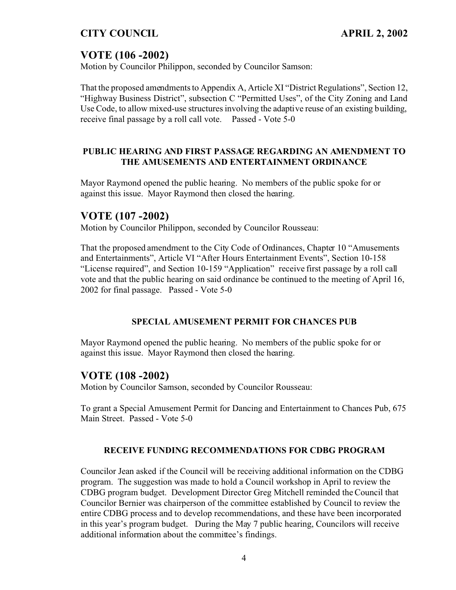# **VOTE (106 -2002)**

Motion by Councilor Philippon, seconded by Councilor Samson:

That the proposed amendments to Appendix A, Article XI "District Regulations", Section 12, "Highway Business District", subsection C "Permitted Uses", of the City Zoning and Land Use Code, to allow mixed-use structures involving the adaptive reuse of an existing building, receive final passage by a roll call vote. Passed - Vote 5-0

#### **PUBLIC HEARING AND FIRST PASSAGE REGARDING AN AMENDMENT TO THE AMUSEMENTS AND ENTERTAINMENT ORDINANCE**

Mayor Raymond opened the public hearing. No members of the public spoke for or against this issue. Mayor Raymond then closed the hearing.

## **VOTE (107 -2002)**

Motion by Councilor Philippon, seconded by Councilor Rousseau:

That the proposed amendment to the City Code of Ordinances, Chapter 10 "Amusements and Entertainments", Article VI "After Hours Entertainment Events", Section 10-158 "License required", and Section 10-159 "Application" receive first passage by a roll call vote and that the public hearing on said ordinance be continued to the meeting of April 16, 2002 for final passage. Passed - Vote 5-0

#### **SPECIAL AMUSEMENT PERMIT FOR CHANCES PUB**

Mayor Raymond opened the public hearing. No members of the public spoke for or against this issue. Mayor Raymond then closed the hearing.

## **VOTE (108 -2002)**

Motion by Councilor Samson, seconded by Councilor Rousseau:

To grant a Special Amusement Permit for Dancing and Entertainment to Chances Pub, 675 Main Street. Passed - Vote 5-0

#### **RECEIVE FUNDING RECOMMENDATIONS FOR CDBG PROGRAM**

Councilor Jean asked if the Council will be receiving additional information on the CDBG program. The suggestion was made to hold a Council workshop in April to review the CDBG program budget. Development Director Greg Mitchell reminded the Council that Councilor Bernier was chairperson of the committee established by Council to review the entire CDBG process and to develop recommendations, and these have been incorporated in this year's program budget. During the May 7 public hearing, Councilors will receive additional information about the committee's findings.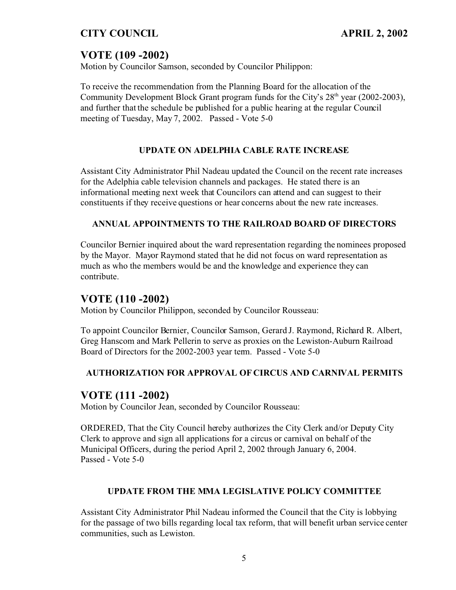# **VOTE (109 -2002)**

Motion by Councilor Samson, seconded by Councilor Philippon:

To receive the recommendation from the Planning Board for the allocation of the Community Development Block Grant program funds for the City's  $28<sup>th</sup>$  year (2002-2003), and further that the schedule be published for a public hearing at the regular Council meeting of Tuesday, May 7, 2002. Passed - Vote 5-0

#### **UPDATE ON ADELPHIA CABLE RATE INCREASE**

Assistant City Administrator Phil Nadeau updated the Council on the recent rate increases for the Adelphia cable television channels and packages. He stated there is an informational meeting next week that Councilors can attend and can suggest to their constituents if they receive questions or hear concerns about the new rate increases.

#### **ANNUAL APPOINTMENTS TO THE RAILROAD BOARD OF DIRECTORS**

Councilor Bernier inquired about the ward representation regarding the nominees proposed by the Mayor. Mayor Raymond stated that he did not focus on ward representation as much as who the members would be and the knowledge and experience they can contribute.

#### **VOTE (110 -2002)**

Motion by Councilor Philippon, seconded by Councilor Rousseau:

To appoint Councilor Bernier, Councilor Samson, Gerard J. Raymond, Richard R. Albert, Greg Hanscom and Mark Pellerin to serve as proxies on the Lewiston-Auburn Railroad Board of Directors for the 2002-2003 year term. Passed - Vote 5-0

#### **AUTHORIZATION FOR APPROVAL OF CIRCUS AND CARNIVAL PERMITS**

## **VOTE (111 -2002)**

Motion by Councilor Jean, seconded by Councilor Rousseau:

ORDERED, That the City Council hereby authorizes the City Clerk and/or Deputy City Clerk to approve and sign all applications for a circus or carnival on behalf of the Municipal Officers, during the period April 2, 2002 through January 6, 2004. Passed - Vote 5-0

#### **UPDATE FROM THE MMA LEGISLATIVE POLICY COMMITTEE**

Assistant City Administrator Phil Nadeau informed the Council that the City is lobbying for the passage of two bills regarding local tax reform, that will benefit urban service center communities, such as Lewiston.